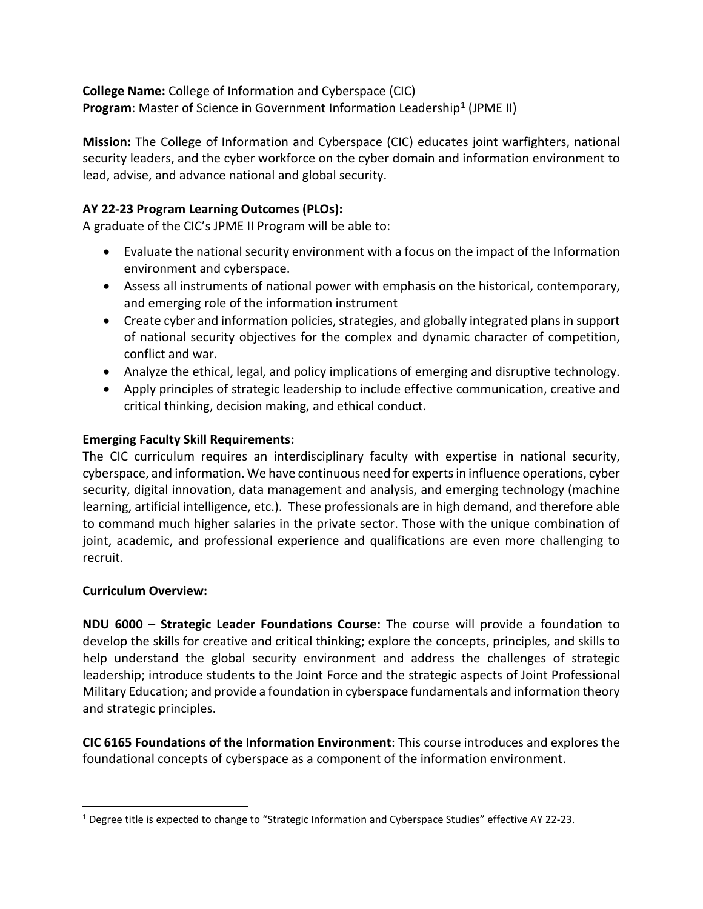**College Name:** College of Information and Cyberspace (CIC) **Program:** Master of Science in Government Information Leadership<sup>[1](#page-0-0)</sup> (JPME II)

**Mission:** The College of Information and Cyberspace (CIC) educates joint warfighters, national security leaders, and the cyber workforce on the cyber domain and information environment to lead, advise, and advance national and global security.

## **AY 22-23 Program Learning Outcomes (PLOs):**

A graduate of the CIC's JPME II Program will be able to:

- Evaluate the national security environment with a focus on the impact of the Information environment and cyberspace.
- Assess all instruments of national power with emphasis on the historical, contemporary, and emerging role of the information instrument
- Create cyber and information policies, strategies, and globally integrated plans in support of national security objectives for the complex and dynamic character of competition, conflict and war.
- Analyze the ethical, legal, and policy implications of emerging and disruptive technology.
- Apply principles of strategic leadership to include effective communication, creative and critical thinking, decision making, and ethical conduct.

## **Emerging Faculty Skill Requirements:**

The CIC curriculum requires an interdisciplinary faculty with expertise in national security, cyberspace, and information. We have continuous need for experts in influence operations, cyber security, digital innovation, data management and analysis, and emerging technology (machine learning, artificial intelligence, etc.). These professionals are in high demand, and therefore able to command much higher salaries in the private sector. Those with the unique combination of joint, academic, and professional experience and qualifications are even more challenging to recruit.

## **Curriculum Overview:**

**NDU 6000 – Strategic Leader Foundations Course:** The course will provide a foundation to develop the skills for creative and critical thinking; explore the concepts, principles, and skills to help understand the global security environment and address the challenges of strategic leadership; introduce students to the Joint Force and the strategic aspects of Joint Professional Military Education; and provide a foundation in cyberspace fundamentals and information theory and strategic principles.

**CIC 6165 Foundations of the Information Environment**: This course introduces and explores the foundational concepts of cyberspace as a component of the information environment.

<span id="page-0-0"></span><sup>1</sup> Degree title is expected to change to "Strategic Information and Cyberspace Studies" effective AY 22-23.